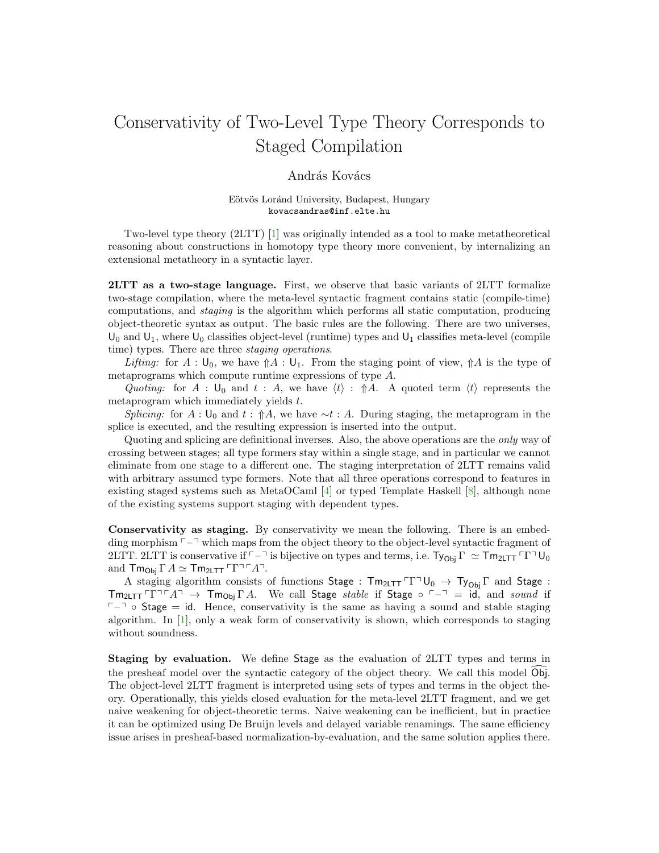## Conservativity of Two-Level Type Theory Corresponds to Staged Compilation

## András Kovács

## Eötvös Loránd University, Budapest, Hungary kovacsandras@inf.elte.hu

Two-level type theory (2LTT) [\[1\]](#page-2-0) was originally intended as a tool to make metatheoretical reasoning about constructions in homotopy type theory more convenient, by internalizing an extensional metatheory in a syntactic layer.

2LTT as a two-stage language. First, we observe that basic variants of 2LTT formalize two-stage compilation, where the meta-level syntactic fragment contains static (compile-time) computations, and staging is the algorithm which performs all static computation, producing object-theoretic syntax as output. The basic rules are the following. There are two universes,  $U_0$  and  $U_1$ , where  $U_0$  classifies object-level (runtime) types and  $U_1$  classifies meta-level (compile time) types. There are three staging operations.

Lifting: for  $A: \mathsf{U}_0$ , we have  $\mathcal{M} : \mathsf{U}_1$ . From the staging point of view,  $\mathcal{M}$  is the type of metaprograms which compute runtime expressions of type A.

Quoting: for A :  $\mathsf{U}_0$  and  $t : A$ , we have  $\langle t \rangle : \hat{A}$ . A quoted term  $\langle t \rangle$  represents the metaprogram which immediately yields t.

Splicing: for A :  $\mathsf{U}_0$  and  $t : \hat{\mathsf{T}}A$ , we have  $\sim t : A$ . During staging, the metaprogram in the splice is executed, and the resulting expression is inserted into the output.

Quoting and splicing are definitional inverses. Also, the above operations are the only way of crossing between stages; all type formers stay within a single stage, and in particular we cannot eliminate from one stage to a different one. The staging interpretation of 2LTT remains valid with arbitrary assumed type formers. Note that all three operations correspond to features in existing staged systems such as MetaOCaml [\[4\]](#page-2-1) or typed Template Haskell [\[8\]](#page-2-2), although none of the existing systems support staging with dependent types.

Conservativity as staging. By conservativity we mean the following. There is an embedding morphism  $\lceil -\rceil$  which maps from the object theory to the object-level syntactic fragment of 2LTT. 2LTT is conservative if  $\neg$  is bijective on types and terms, i.e.  $Ty_{Ob} \Gamma \simeq Tm_{2LTT} \Gamma \Gamma \Gamma U_0$ and  $\mathsf{Tm}_{\mathsf{Obj}} \Gamma A \simeq \mathsf{Tm}_{2\mathsf{LTT}} \Gamma \Gamma \Gamma^{\top} A$ <sup> $\bar{}$ </sup>.

A staging algorithm consists of functions Stage :  $Tm_{2LTT}TT^{\dagger}U_0 \rightarrow Ty_{0bi}T$  and Stage :  $\mathsf{Tm}_{2\mathsf{LTT}}\ulcorner\Gamma\urcorner\ulcorner A\urcorner \rightarrow \mathsf{Tm}_{\mathsf{Obj}}\Gamma A$ . We call Stage stable if Stage  $\circ \ulcorner\lnot = \mathsf{id}$ , and sound if  $\nabla - \neg$  ◦ Stage = id. Hence, conservativity is the same as having a sound and stable staging algorithm. In [\[1\]](#page-2-0), only a weak form of conservativity is shown, which corresponds to staging without soundness.

Staging by evaluation. We define Stage as the evaluation of 2LTT types and terms in the presheaf model over the syntactic category of the object theory. We call this model Obj. The object-level 2LTT fragment is interpreted using sets of types and terms in the object theory. Operationally, this yields closed evaluation for the meta-level 2LTT fragment, and we get naive weakening for object-theoretic terms. Naive weakening can be inefficient, but in practice it can be optimized using De Bruijn levels and delayed variable renamings. The same efficiency issue arises in presheaf-based normalization-by-evaluation, and the same solution applies there.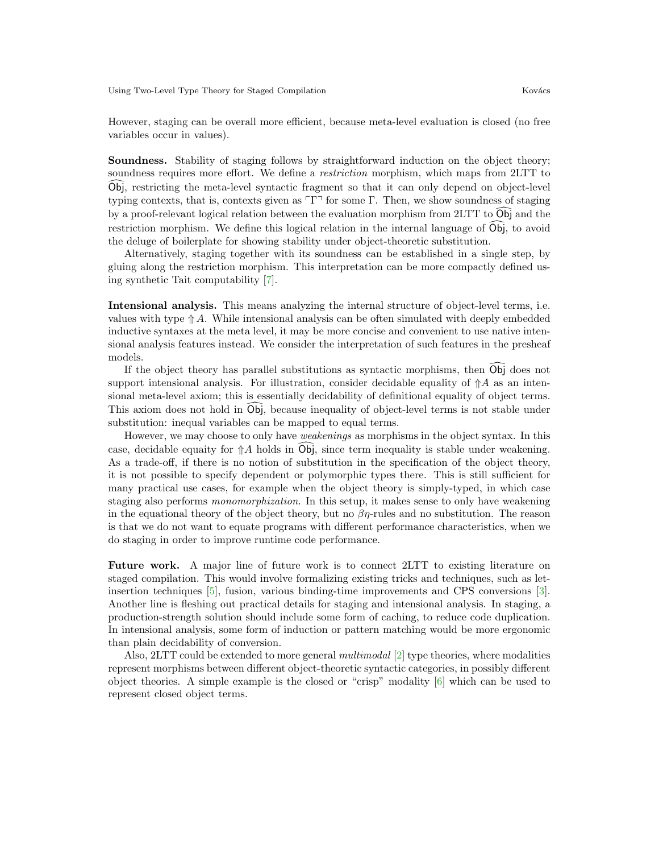Using Two-Level Type Theory for Staged Compilation Kovács

However, staging can be overall more efficient, because meta-level evaluation is closed (no free variables occur in values).

Soundness. Stability of staging follows by straightforward induction on the object theory; soundness requires more effort. We define a *restriction* morphism, which maps from 2LTT to Obj, restricting the meta-level syntactic fragment so that it can only depend on object-level typing contexts, that is, contexts given as  $\Gamma\Gamma$ <sup>{\right}}</sup> for some Γ. Then, we show soundness of staging by a proof-relevant logical relation between the evaluation morphism from  $2LTT$  to  $\widehat{O}_{D}$  and the restriction morphism. We define this logical relation in the internal language of  $\overline{\text{Obj}}$ , to avoid the deluge of boilerplate for showing stability under object-theoretic substitution.

Alternatively, staging together with its soundness can be established in a single step, by gluing along the restriction morphism. This interpretation can be more compactly defined using synthetic Tait computability [\[7\]](#page-2-3).

Intensional analysis. This means analyzing the internal structure of object-level terms, i.e. values with type  $\Uparrow A$ . While intensional analysis can be often simulated with deeply embedded inductive syntaxes at the meta level, it may be more concise and convenient to use native intensional analysis features instead. We consider the interpretation of such features in the presheaf models.

If the object theory has parallel substitutions as syntactic morphisms, then  $\overline{Obj}$  does not support intensional analysis. For illustration, consider decidable equality of  $\mathcal{A}$  as an intensional meta-level axiom; this is essentially decidability of definitional equality of object terms. This axiom does not hold in Obj, because inequality of object-level terms is not stable under substitution: inequal variables can be mapped to equal terms.

However, we may choose to only have weakenings as morphisms in the object syntax. In this case, decidable equaity for  $\hat{A}$  holds in  $\hat{O}b\hat{j}$ , since term inequality is stable under weakening. As a trade-off, if there is no notion of substitution in the specification of the object theory, it is not possible to specify dependent or polymorphic types there. This is still sufficient for many practical use cases, for example when the object theory is simply-typed, in which case staging also performs monomorphization. In this setup, it makes sense to only have weakening in the equational theory of the object theory, but no  $\beta\eta$ -rules and no substitution. The reason is that we do not want to equate programs with different performance characteristics, when we do staging in order to improve runtime code performance.

Future work. A major line of future work is to connect 2LTT to existing literature on staged compilation. This would involve formalizing existing tricks and techniques, such as letinsertion techniques [\[5\]](#page-2-4), fusion, various binding-time improvements and CPS conversions [\[3\]](#page-2-5). Another line is fleshing out practical details for staging and intensional analysis. In staging, a production-strength solution should include some form of caching, to reduce code duplication. In intensional analysis, some form of induction or pattern matching would be more ergonomic than plain decidability of conversion.

Also, 2LTT could be extended to more general multimodal [\[2\]](#page-2-6) type theories, where modalities represent morphisms between different object-theoretic syntactic categories, in possibly different object theories. A simple example is the closed or "crisp" modality [\[6\]](#page-2-7) which can be used to represent closed object terms.